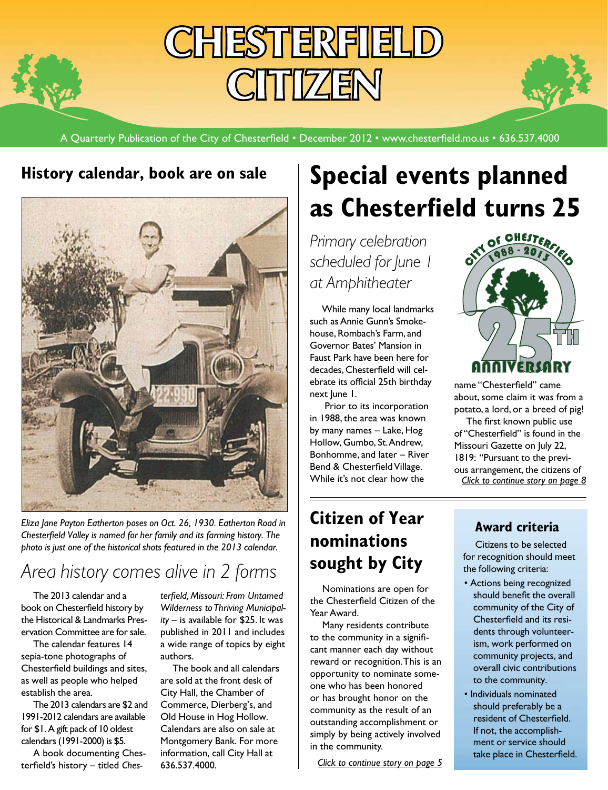# **CHIESTTERFIELD CITTIZEN**

A Quarterly Publication of the City of Chesterfield • December 2012 • www.chesterfield.mo.us • 636.537.4000

## **History calendar, book are on sale**



*Eliza Jane Payton Eatherton poses on Oct. 26, 1930. Eatherton Road in Chesterfield Valley is named for her family and its farming history. The photo is just one of the historical shots featured in the 2013 calendar.*

# *Area history comes alive in 2 forms*

The 2013 calendar and a book on Chesterfield history by the Historical & Landmarks Preservation Committee are for sale.

The calendar features 14 sepia-tone photographs of Chesterfield buildings and sites, as well as people who helped establish the area.

The 2013 calendars are \$2 and 1991-2012 calendars are available for \$1. A gift pack of 10 oldest calendars (1991-2000) is \$5.

A book documenting Chesterfield's history – titled *Ches-* *terfield, Missouri: From Untamed Wilderness to Thriving Municipality* – is available for \$25. It was published in 2011 and includes a wide range of topics by eight authors.

The book and all calendars are sold at the front desk of City Hall, the Chamber of Commerce, Dierberg's, and Old House in Hog Hollow. Calendars are also on sale at Montgomery Bank. For more information, call City Hall at 636.537.4000.

# **Special events planned as Chesterfield turns 25**<br>Primary celebration<br>Algoration

*Primary celebration scheduled for June 1 at Amphitheater*

While many local landmarks such as Annie Gunn's Smokehouse, Rombach's Farm, and Governor Bates' Mansion in Faust Park have been here for decades, Chesterfield will celebrate its official 25th birthday next lune 1.

 Prior to its incorporation in 1988, the area was known by many names – Lake, Hog Hollow, Gumbo, St. Andrew, Bonhomme, and later – River Bend & Chesterfield Village. While it's not clear how the

# **Citizen of Year nominations sought by City**

Nominations are open for the Chesterfield Citizen of the Year Award.

Many residents contribute to the community in a significant manner each day without reward or recognition. This is an opportunity to nominate someone who has been honored or has brought honor on the community as the result of an outstanding accomplishment or simply by being actively involved in the community.

*[Click to continue story on page 5](#page-4-0)*



name "Chesterfield" came about, some claim it was from a potato, a lord, or a breed of pig!

*[Click to continue story on page 8](#page-7-0)* The first known public use of "Chesterfield" is found in the Missouri Gazette on July 22, 1819: "Pursuant to the previous arrangement, the citizens of

## **Award criteria**

Citizens to be selected for recognition should meet the following criteria:

- Actions being recognized should benefit the overall community of the City of Chesterfield and its residents through volunteerism, work performed on community projects, and overall civic contributions to the community.
- Individuals nominated should preferably be a resident of Chesterfield. If not, the accomplishment or service should take place in Chesterfield.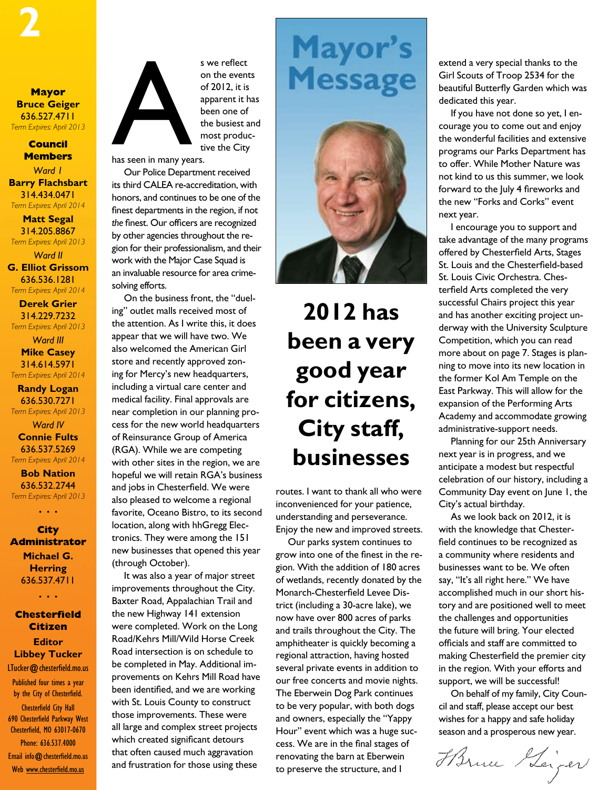**Mayor Bruce Geiger** 636.527.4711 *Term Expires: April 2013*

#### **Council Members**

*Ward 1* **Barry Flachsbart** 314.434.0471 *Term Expires: April 2014*

**Matt Segal** 314.205.8867

*Term Expires: April 2013 Ward II* **G. Elliot Grissom** 636.536.1281

*Term Expires: April 2014*

**Derek Grier** 314.229.7232 *Term Expires: April 2013*

*Ward III* **Mike Casey** 314.614.5971 *Term Expires: April 2014*

**Randy Logan** 636.530.7271

*Term Expires: April 2013*

*Ward IV* **Connie Fults** 636.537.5269 *Term Expires: April 2014*

**Bob Nation** 636.532.2744 *Term Expires: April 2013*

*• • •*

**City Administrator Michael G. Herring** 636.537.4711

*• • •*

**Chesterfield Citizen Editor Libbey Tucker** LTucker@chesterfield.mo.us Published four times a year by the City of Chesterfield. Chesterfield City Hall 690 Chesterfield Parkway West Chesterfield, MO 63017-0670 Phone: 636.537.4000 Email info@chesterfield.mo.us

Web www.chesterfield.mo.us



s we reflect on the events of 2012, it is apparent it has been one of the busiest and most productive the City

has seen in many years.

Our Police Department received its third CALEA re-accreditation, with honors, and continues to be one of the finest departments in the region, if not *the* finest. Our officers are recognized by other agencies throughout the region for their professionalism, and their work with the Major Case Squad is an invaluable resource for area crimesolving efforts.

On the business front, the "dueling" outlet malls received most of the attention. As I write this, it does appear that we will have two. We also welcomed the American Girl store and recently approved zoning for Mercy's new headquarters, including a virtual care center and medical facility. Final approvals are near completion in our planning process for the new world headquarters of Reinsurance Group of America (RGA). While we are competing with other sites in the region, we are hopeful we will retain RGA's business and jobs in Chesterfield. We were also pleased to welcome a regional favorite, Oceano Bistro, to its second location, along with hhGregg Electronics. They were among the 151 new businesses that opened this year (through October).

It was also a year of major street improvements throughout the City. Baxter Road, Appalachian Trail and the new Highway 141 extension were completed. Work on the Long Road/Kehrs Mill/Wild Horse Creek Road intersection is on schedule to be completed in May. Additional improvements on Kehrs Mill Road have been identified, and we are working with St. Louis County to construct those improvements. These were all large and complex street projects which created significant detours that often caused much aggravation and frustration for those using these

# Mayor's **Message**



# **2012 has been a very good year for citizens, City staff, businesses**

routes. I want to thank all who were inconvenienced for your patience, understanding and perseverance. Enjoy the new and improved streets.

Our parks system continues to grow into one of the finest in the region. With the addition of 180 acres of wetlands, recently donated by the Monarch-Chesterfield Levee District (including a 30-acre lake), we now have over 800 acres of parks and trails throughout the City. The amphitheater is quickly becoming a regional attraction, having hosted several private events in addition to our free concerts and movie nights. The Eberwein Dog Park continues to be very popular, with both dogs and owners, especially the "Yappy Hour" event which was a huge success. We are in the final stages of renovating the barn at Eberwein to preserve the structure, and I

extend a very special thanks to the Girl Scouts of Troop 2534 for the beautiful Butterfly Garden which was dedicated this year.

If you have not done so yet, I encourage you to come out and enjoy the wonderful facilities and extensive programs our Parks Department has to offer. While Mother Nature was not kind to us this summer, we look forward to the July 4 fireworks and the new "Forks and Corks" event next year.

I encourage you to support and take advantage of the many programs offered by Chesterfield Arts, Stages St. Louis and the Chesterfield-based St. Louis Civic Orchestra. Chesterfield Arts completed the very successful Chairs project this year and has another exciting project underway with the University Sculpture Competition, which you can read more about on page 7. Stages is planning to move into its new location in the former Kol Am Temple on the East Parkway. This will allow for the expansion of the Performing Arts Academy and accommodate growing administrative-support needs.

Planning for our 25th Anniversary next year is in progress, and we anticipate a modest but respectful celebration of our history, including a Community Day event on June 1, the City's actual birthday.

As we look back on 2012, it is with the knowledge that Chesterfield continues to be recognized as a community where residents and businesses want to be. We often say, "It's all right here." We have accomplished much in our short history and are positioned well to meet the challenges and opportunities the future will bring. Your elected officials and staff are committed to making Chesterfield the premier city in the region. With your efforts and support, we will be successful!

On behalf of my family, City Council and staff, please accept our best wishes for a happy and safe holiday season and a prosperous new year.

Horne Seiger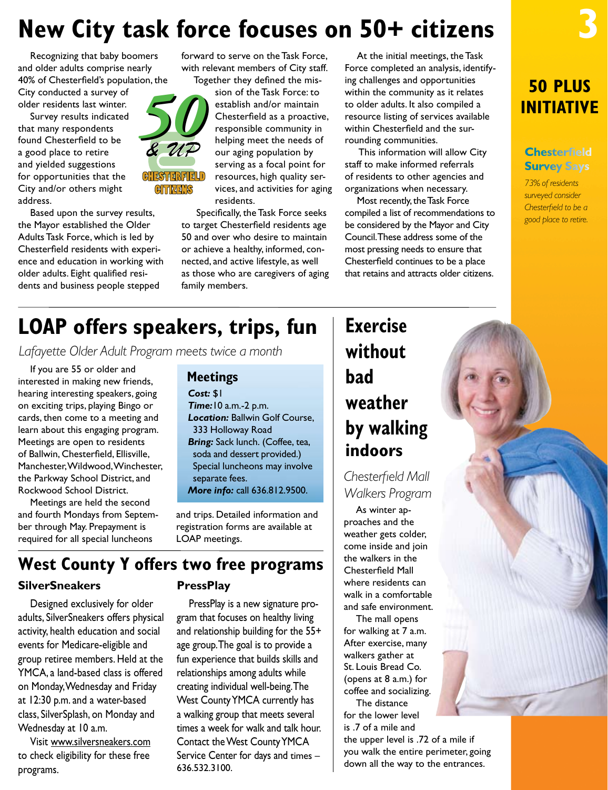# **New City task force focuses on 50+ citizens**

Recognizing that baby boomers and older adults comprise nearly 40% of Chesterfield's population, the City conducted a survey of

older residents last winter. Survey results indicated

that many respondents found Chesterfield to be a good place to retire and yielded suggestions for opportunities that the City and/or others might address.

Based upon the survey results, the Mayor established the Older Adults Task Force, which is led by Chesterfield residents with experience and education in working with older adults. Eight qualified residents and business people stepped

forward to serve on the Task Force, with relevant members of City staff. Together they defined the mis-

> sion of the Task Force: to establish and/or maintain Chesterfield as a proactive, responsible community in helping meet the needs of our aging population by serving as a focal point for resources, high quality services, and activities for aging residents.

 Specifically, the Task Force seeks to target Chesterfield residents age 50 and over who desire to maintain or achieve a healthy, informed, connected, and active lifestyle, as well as those who are caregivers of aging family members.

At the initial meetings, the Task Force completed an analysis, identifying challenges and opportunities within the community as it relates to older adults. It also compiled a resource listing of services available within Chesterfield and the surrounding communities.

 This information will allow City staff to make informed referrals of residents to other agencies and organizations when necessary.

Most recently, the Task Force compiled a list of recommendations to be considered by the Mayor and City Council. These address some of the most pressing needs to ensure that Chesterfield continues to be a place that retains and attracts older citizens.

**50 PLUS INITIATIVE**

**3**

#### **Chesterfield Survey Says**

*73% of residents surveyed consider Chesterfield to be a good place to retire.*

CHESTERFIELD

# **LOAP offers speakers, trips, fun**

*Lafayette Older Adult Program meets twice a month*

If you are 55 or older and interested in making new friends, hearing interesting speakers, going on exciting trips, playing Bingo or cards, then come to a meeting and learn about this engaging program. Meetings are open to residents of Ballwin, Chesterfield, Ellisville, Manchester, Wildwood, Winchester, the Parkway School District, and Rockwood School District.

Meetings are held the second and fourth Mondays from September through May. Prepayment is required for all special luncheons

## **Meetings**

*Cost:* \$1 *Time:*10 a.m.-2 p.m. *Location:* Ballwin Golf Course, 333 Holloway Road *Bring:* Sack lunch. (Coffee, tea, soda and dessert provided.) Special luncheons may involve separate fees. *More info:* call 636.812.9500.

and trips. Detailed information and registration forms are available at LOAP meetings.

## **SilverSneakers West County Y offers two free programs**

Designed exclusively for older adults, SilverSneakers offers physical activity, health education and social events for Medicare-eligible and group retiree members. Held at the YMCA, a land-based class is offered on Monday, Wednesday and Friday at 12:30 p.m. and a water-based class, SilverSplash, on Monday and Wednesday at 10 a.m.

Visit [www.silversneakers.com](http://www.silversneakers.com) to check eligibility for these free programs.

### **PressPlay**

PressPlay is a new signature program that focuses on healthy living and relationship building for the 55+ age group. The goal is to provide a fun experience that builds skills and relationships among adults while creating individual well-being. The West County YMCA currently has a walking group that meets several times a week for walk and talk hour. Contact the West County YMCA Service Center for days and times – 636.532.3100.

# **Exercise without bad weather by walking indoors**

*Chesterfield Mall Walkers Program* 

As winter approaches and the weather gets colder, come inside and join the walkers in the Chesterfield Mall where residents can walk in a comfortable and safe environment.

The mall opens for walking at 7 a.m. After exercise, many walkers gather at St. Louis Bread Co. (opens at 8 a.m.) for coffee and socializing.

The distance for the lower level is .7 of a mile and

the upper level is .72 of a mile if you walk the entire perimeter, going down all the way to the entrances.



# CITTATIS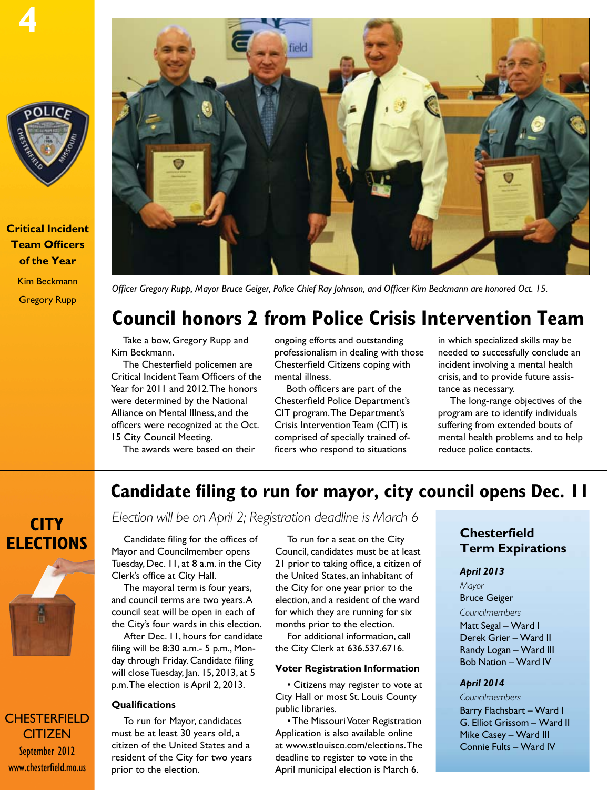

**Critical Incident Team Officers of the Year** Kim Beckmann Gregory Rupp



*Officer Gregory Rupp, Mayor Bruce Geiger, Police Chief Ray Johnson, and Officer Kim Beckmann are honored Oct. 15.*

# **Council honors 2 from Police Crisis Intervention Team**

Take a bow, Gregory Rupp and Kim Beckmann.

The Chesterfield policemen are Critical Incident Team Officers of the Year for 2011 and 2012. The honors were determined by the National Alliance on Mental Illness, and the officers were recognized at the Oct. 15 City Council Meeting.

The awards were based on their

ongoing efforts and outstanding professionalism in dealing with those Chesterfield Citizens coping with mental illness.

Both officers are part of the Chesterfield Police Department's CIT program. The Department's Crisis Intervention Team (CIT) is comprised of specially trained officers who respond to situations

in which specialized skills may be needed to successfully conclude an incident involving a mental health crisis, and to provide future assistance as necessary.

The long-range objectives of the program are to identify individuals suffering from extended bouts of mental health problems and to help reduce police contacts.

## **Candidate filing to run for mayor, city council opens Dec. 11**

# **City Elections**

**CHESTERFIELD CITIZEN** September 2012 www.chesterfield.mo.us

# *Election will be on April 2; Registration deadline is March 6*

Candidate filing for the offices of Mayor and Councilmember opens Tuesday, Dec. 11, at 8 a.m. in the City Clerk's office at City Hall.

The mayoral term is four years, and council terms are two years. A council seat will be open in each of the City's four wards in this election.

After Dec. 11, hours for candidate filing will be 8:30 a.m.- 5 p.m., Monday through Friday. Candidate filing will close Tuesday, Jan. 15, 2013, at 5 p.m. The election is April 2, 2013.

#### **Qualifications**

To run for Mayor, candidates must be at least 30 years old, a citizen of the United States and a resident of the City for two years prior to the election.

To run for a seat on the City Council, candidates must be at least 21 prior to taking office, a citizen of the United States, an inhabitant of the City for one year prior to the election, and a resident of the ward for which they are running for six months prior to the election.

For additional information, call the City Clerk at 636.537.6716.

#### **Voter Registration Information**

• Citizens may register to vote at City Hall or most St. Louis County public libraries.

• The Missouri Voter Registration Application is also available online at www.stlouisco.com/elections. The deadline to register to vote in the April municipal election is March 6.

### **Chesterfield Term Expirations**

#### *April 2013*

*Mayor* Bruce Geiger

#### *Councilmembers*

Matt Segal – Ward I Derek Grier – Ward II Randy Logan – Ward III Bob Nation – Ward IV

#### *April 2014*

#### *Councilmembers*

Barry Flachsbart – Ward I G. Elliot Grissom – Ward II Mike Casey – Ward III Connie Fults – Ward IV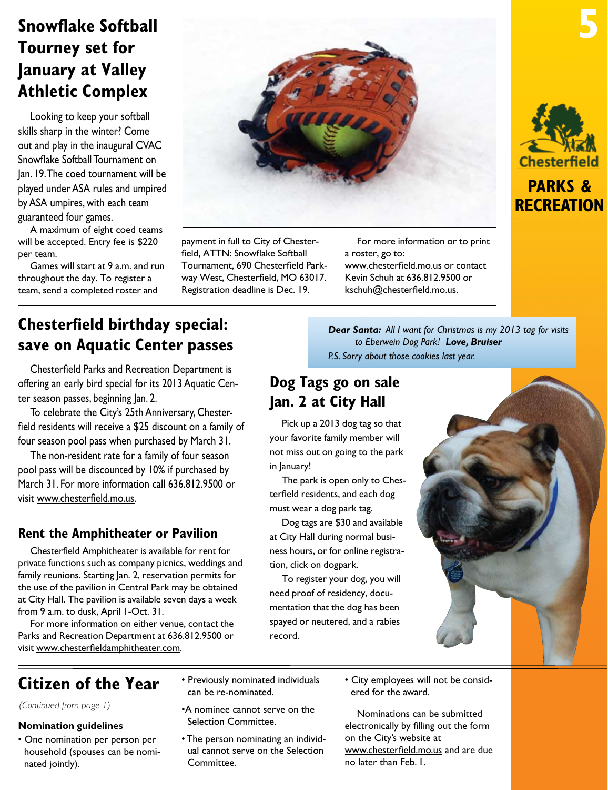# <span id="page-4-0"></span>**Snowflake Softball Tourney set for January at Valley Athletic Complex**

Looking to keep your softball skills sharp in the winter? Come out and play in the inaugural CVAC Snowflake Softball Tournament on Jan. 19. The coed tournament will be played under ASA rules and umpired by ASA umpires, with each team guaranteed four games.

A maximum of eight coed teams will be accepted. Entry fee is \$220 per team.

Games will start at 9 a.m. and run throughout the day. To register a team, send a completed roster and



payment in full to City of Chesterfield, ATTN: Snowflake Softball Tournament, 690 Chesterfield Parkway West, Chesterfield, MO 63017. Registration deadline is Dec. 19.

For more information or to print a roster, go to:

www.chesterfield.mo.us or contact Kevin Schuh at 636.812.9500 or kschuh@chesterfield.mo.us.



**5**

# **recreation**

## **Chesterfield birthday special: save on Aquatic Center passes**

Chesterfield Parks and Recreation Department is offering an early bird special for its 2013 Aquatic Center season passes, beginning Jan. 2.

To celebrate the City's 25th Anniversary, Chesterfield residents will receive a \$25 discount on a family of four season pool pass when purchased by March 31.

The non-resident rate for a family of four season pool pass will be discounted by 10% if purchased by March 31. For more information call 636.812.9500 or visit www.chesterfield.mo.us.

## **Rent the Amphitheater or Pavilion**

Chesterfield Amphitheater is available for rent for private functions such as company picnics, weddings and family reunions. Starting Jan. 2, reservation permits for the use of the pavilion in Central Park may be obtained at City Hall. The pavilion is available seven days a week from 9 a.m. to dusk, April 1-Oct. 31.

For more information on either venue, contact the Parks and Recreation Department at 636.812.9500 or visit www.chesterfieldamphitheater.com.

*Dear Santa: All I want for Christmas is my 2013 tag for visits to Eberwein Dog Park! Love, Bruiser P.S. Sorry about those cookies last year.*

## **Dog Tags go on sale Jan. 2 at City Hall**

Pick up a 2013 dog tag so that your favorite family member will not miss out on going to the park in January!

The park is open only to Chesterfield residents, and each dog must wear a dog park tag.

Dog tags are \$30 and available at City Hall during normal business hours, or for online registration, click on [dogpark.](www.chesterfield.mo.us/eberweindogpark.html)

To register your dog, you will need proof of residency, documentation that the dog has been spayed or neutered, and a rabies record.

## **Citizen of the Year**

*(Continued from page 1)*

#### **Nomination guidelines**

- One nomination per person per household (spouses can be nominated jointly).
- Previously nominated individuals can be re-nominated.
- •A nominee cannot serve on the Selection Committee.
- The person nominating an individual cannot serve on the Selection Committee.
- City employees will not be considered for the award.

Nominations can be submitted electronically by filling out the form on the City's website at www.chesterfield.mo.us and are due no later than Feb. 1.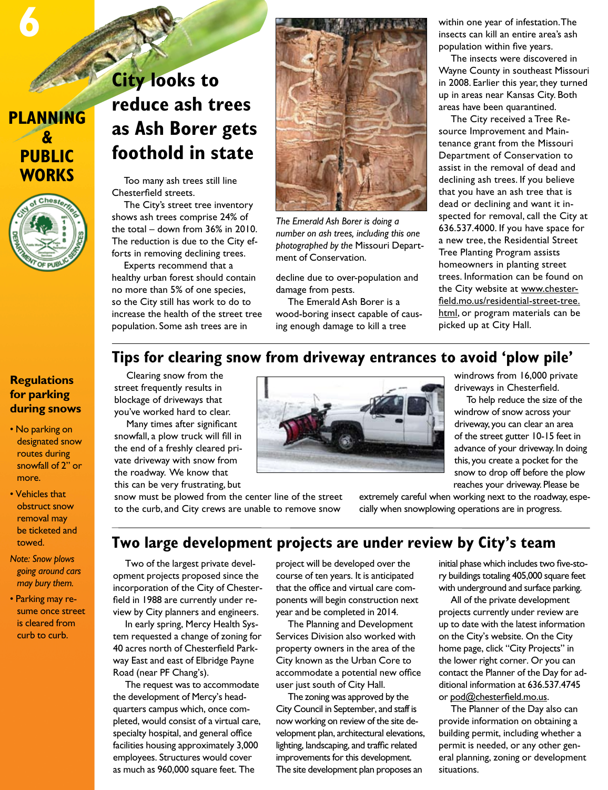## **PLANNING & PUBLIC WORKS**

**6**



### **Regulations for parking during snows**

- No parking on designated snow routes during snowfall of 2" or more.
- Vehicles that obstruct snow removal may be ticketed and towed.
- *Note: Snow plows going around cars may bury them.*
- Parking may resume once street is cleared from curb to curb.

# **City looks to reduce ash trees as Ash Borer gets foothold in state**

Too many ash trees still line Chesterfield streets.

The City's street tree inventory shows ash trees comprise 24% of the total – down from 36% in 2010. The reduction is due to the City efforts in removing declining trees.

Experts recommend that a healthy urban forest should contain no more than 5% of one species, so the City still has work to do to increase the health of the street tree population. Some ash trees are in



*The Emerald Ash Borer is doing a number on ash trees, including this one photographed by the* Missouri Department of Conservation.

decline due to over-population and damage from pests.

The Emerald Ash Borer is a wood-boring insect capable of causing enough damage to kill a tree

within one year of infestation. The insects can kill an entire area's ash population within five years.

The insects were discovered in Wayne County in southeast Missouri in 2008. Earlier this year, they turned up in areas near Kansas City. Both areas have been quarantined.

The City received a Tree Resource Improvement and Maintenance grant from the Missouri Department of Conservation to assist in the removal of dead and declining ash trees. If you believe that you have an ash tree that is dead or declining and want it inspected for removal, call the City at 636.537.4000. If you have space for a new tree, the Residential Street Tree Planting Program assists homeowners in planting street trees. Information can be found on the City website at [www.chester](http://www.chesterfield.mo.us/residential-street-tree.html)[field.mo.us/residential-street-tree.](http://www.chesterfield.mo.us/residential-street-tree.html) [htm](http://www.chesterfield.mo.us/residential-street-tree.html)l, or program materials can be picked up at City Hall.

## **Tips for clearing snow from driveway entrances to avoid 'plow pile'**

Clearing snow from the street frequently results in blockage of driveways that you've worked hard to clear.

Many times after significant snowfall, a plow truck will fill in the end of a freshly cleared private driveway with snow from the roadway. We know that this can be very frustrating, but

snow must be plowed from the center line of the street to the curb, and City crews are unable to remove snow



windrows from 16,000 private driveways in Chesterfield.

To help reduce the size of the windrow of snow across your driveway, you can clear an area of the street gutter 10-15 feet in advance of your driveway. In doing this, you create a pocket for the snow to drop off before the plow reaches your driveway. Please be

extremely careful when working next to the roadway, especially when snowplowing operations are in progress.

## **Two large development projects are under review by City's team**

Two of the largest private development projects proposed since the incorporation of the City of Chesterfield in 1988 are currently under review by City planners and engineers.

In early spring, Mercy Health System requested a change of zoning for 40 acres north of Chesterfield Parkway East and east of Elbridge Payne Road (near PF Chang's).

The request was to accommodate the development of Mercy's headquarters campus which, once completed, would consist of a virtual care, specialty hospital, and general office facilities housing approximately 3,000 employees. Structures would cover as much as 960,000 square feet. The

project will be developed over the course of ten years. It is anticipated that the office and virtual care components will begin construction next year and be completed in 2014.

The Planning and Development Services Division also worked with property owners in the area of the City known as the Urban Core to accommodate a potential new office user just south of City Hall.

The zoning was approved by the City Council in September, and staff is now working on review of the site development plan, architectural elevations, lighting, landscaping, and traffic related improvements for this development. The site development plan proposes an

initial phase which includes two five-story buildings totaling 405,000 square feet with underground and surface parking.

All of the private development projects currently under review are up to date with the latest information on the City's website. On the City home page, click "City Projects" in the lower right corner. Or you can contact the Planner of the Day for additional information at 636.537.4745 or pod@chesterfield.mo.us.

The Planner of the Day also can provide information on obtaining a building permit, including whether a permit is needed, or any other general planning, zoning or development situations.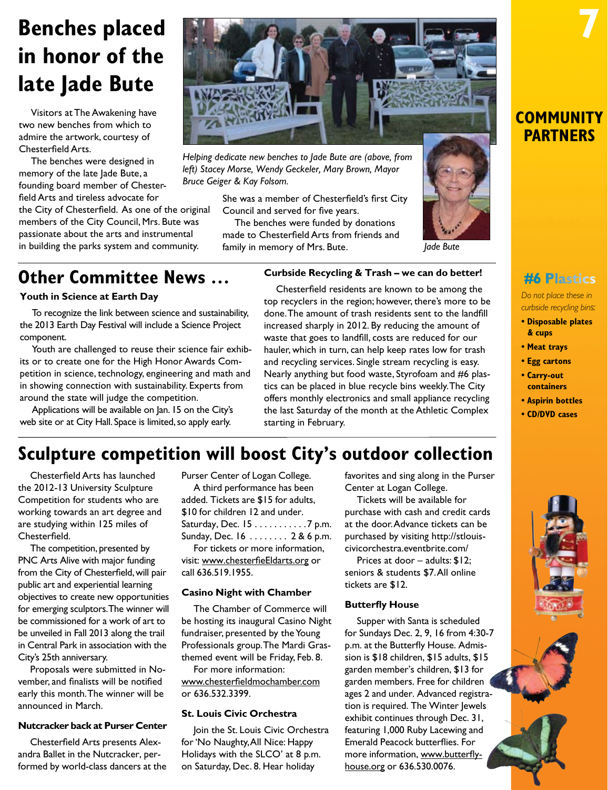# **Benches placed in honor of the late Jade Bute**

Visitors at The Awakening have two new benches from which to admire the artwork, courtesy of Chesterfield Arts.

The benches were designed in memory of the late lade Bute, a founding board member of Chesterfield Arts and tireless advocate for

the City of Chesterfield. As one of the original members of the City Council, Mrs. Bute was passionate about the arts and instrumental in building the parks system and community.



*Helping dedicate new benches to Jade Bute are (above, from left) Stacey Morse, Wendy Geckeler, Mary Brown, Mayor Bruce Geiger & Kay Folsom.*

> She was a member of Chesterfield's first City Council and served for five years.

The benches were funded by donations made to Chesterfield Arts from friends and family in memory of Mrs. Bute.



**COMMUNITY PARTNERS**

**7**

*Do not place these in curbside recycling bins:*

- **Disposable plates & cups**
- **Meat trays**
- **Egg cartons**
- **Carry-out**
- **containers • Aspirin bottles**
- **CD/DVD cases**

# **Other Committee News ...** Curbside Recycling & Trash – we can do better! #6 Plastics

#### **Youth in Science at Earth Day**

To recognize the link between science and sustainability, the 2013 Earth Day Festival will include a Science Project component.

Youth are challenged to reuse their science fair exhibits or to create one for the High Honor Awards Competition in science, technology, engineering and math and in showing connection with sustainability. Experts from around the state will judge the competition.

Applications will be available on Jan. 15 on the City's web site or at City Hall. Space is limited, so apply early.

## **Curbside Recycling & Trash – we can do better!**

Chesterfield residents are known to be among the top recyclers in the region; however, there's more to be done. The amount of trash residents sent to the landfill increased sharply in 2012. By reducing the amount of waste that goes to landfill, costs are reduced for our hauler, which in turn, can help keep rates low for trash and recycling services. Single stream recycling is easy. Nearly anything but food waste, Styrofoam and #6 plastics can be placed in blue recycle bins weekly. The City offers monthly electronics and small appliance recycling the last Saturday of the month at the Athletic Complex starting in February.

## **Sculpture competition will boost City's outdoor collection**

Chesterfield Arts has launched the 2012-13 University Sculpture Competition for students who are working towards an art degree and are studying within 125 miles of Chesterfield.

The competition, presented by PNC Arts Alive with major funding from the City of Chesterfield, will pair public art and experiential learning objectives to create new opportunities for emerging sculptors. The winner will be commissioned for a work of art to be unveiled in Fall 2013 along the trail in Central Park in association with the City's 25th anniversary.

Proposals were submitted in November, and finalists will be notified early this month. The winner will be announced in March.

#### **Nutcracker back at Purser Center**

Chesterfield Arts presents Alexandra Ballet in the Nutcracker, performed by world-class dancers at the

Purser Center of Logan College. A third performance has been added. Tickets are \$15 for adults, \$10 for children 12 and under. Saturday, Dec.  $15...$ ........7 p.m. Sunday, Dec. 16 . . . . . . . . 2 & 6 p.m.

For tickets or more information, visit: [www.chesterfieEldarts.org](http://www.chesterfieldarts.org) or call 636.519.1955.

#### **Casino Night with Chamber**

The Chamber of Commerce will be hosting its inaugural Casino Night fundraiser, presented by the Young Professionals group. The Mardi Grasthemed event will be Friday, Feb. 8.

For more information: [www.chesterfieldmochamber.com](http://www.chesterfieldmochamber.com) or 636.532.3399.

#### **St. Louis Civic Orchestra**

Join the St. Louis Civic Orchestra for 'No Naughty, All Nice: Happy Holidays with the SLCO' at 8 p.m. on Saturday, Dec. 8. Hear holiday

favorites and sing along in the Purser Center at Logan College.

Tickets will be available for purchase with cash and credit cards at the door. Advance tickets can be purchased by visiting http://stlouiscivicorchestra.eventbrite.com/

Prices at door – adults: \$12; seniors & students \$7. All online tickets are \$12.

#### **Butterfly House**

Supper with Santa is scheduled for Sundays Dec. 2, 9, 16 from 4:30-7 p.m. at the Butterfly House. Admission is \$18 children, \$15 adults, \$15 garden member's children, \$13 for garden members. Free for children ages 2 and under. Advanced registration is required. The Winter Jewels exhibit continues through Dec. 31, featuring 1,000 Ruby Lacewing and Emerald Peacock butterflies. For more information, www.butterflyhouse.org or 636.530.0076.



**CHESTER** CITIZEN September 2012 ww.chesterfield.mo.us